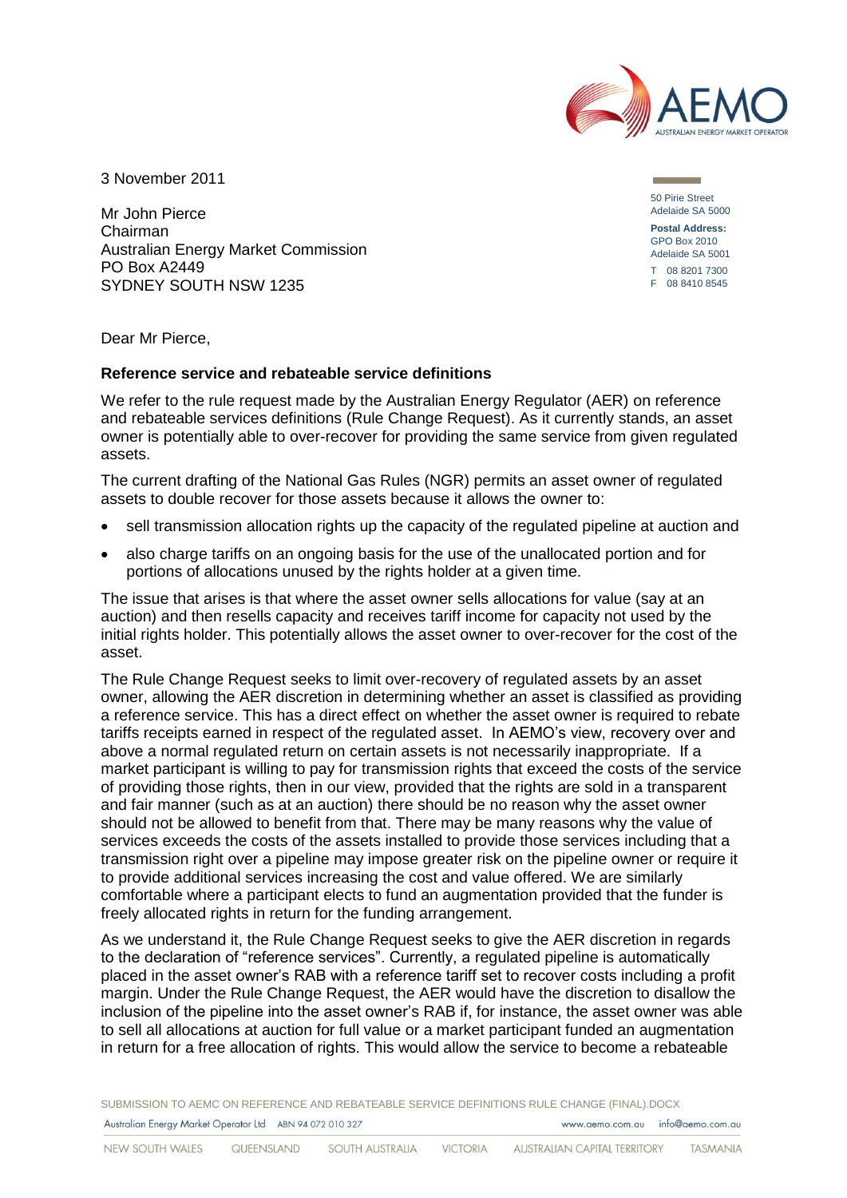

3 November 2011

Mr John Pierce Chairman Australian Energy Market Commission PO Box A2449 SYDNEY SOUTH NSW 1235

50 Pirie Street Adelaide SA 5000 **Postal Address:** GPO Box 2010 Adelaide SA 5001 T 08 8201 7300 F 08 8410 8545

Dear Mr Pierce,

## **Reference service and rebateable service definitions**

We refer to the rule request made by the Australian Energy Regulator (AER) on reference and rebateable services definitions (Rule Change Request). As it currently stands, an asset owner is potentially able to over-recover for providing the same service from given regulated assets.

The current drafting of the National Gas Rules (NGR) permits an asset owner of regulated assets to double recover for those assets because it allows the owner to:

- sell transmission allocation rights up the capacity of the regulated pipeline at auction and
- also charge tariffs on an ongoing basis for the use of the unallocated portion and for portions of allocations unused by the rights holder at a given time.

The issue that arises is that where the asset owner sells allocations for value (say at an auction) and then resells capacity and receives tariff income for capacity not used by the initial rights holder. This potentially allows the asset owner to over-recover for the cost of the asset.

The Rule Change Request seeks to limit over-recovery of regulated assets by an asset owner, allowing the AER discretion in determining whether an asset is classified as providing a reference service. This has a direct effect on whether the asset owner is required to rebate tariffs receipts earned in respect of the regulated asset. In AEMO's view, recovery over and above a normal regulated return on certain assets is not necessarily inappropriate. If a market participant is willing to pay for transmission rights that exceed the costs of the service of providing those rights, then in our view, provided that the rights are sold in a transparent and fair manner (such as at an auction) there should be no reason why the asset owner should not be allowed to benefit from that. There may be many reasons why the value of services exceeds the costs of the assets installed to provide those services including that a transmission right over a pipeline may impose greater risk on the pipeline owner or require it to provide additional services increasing the cost and value offered. We are similarly comfortable where a participant elects to fund an augmentation provided that the funder is freely allocated rights in return for the funding arrangement.

As we understand it, the Rule Change Request seeks to give the AER discretion in regards to the declaration of "reference services". Currently, a regulated pipeline is automatically placed in the asset owner's RAB with a reference tariff set to recover costs including a profit margin. Under the Rule Change Request, the AER would have the discretion to disallow the inclusion of the pipeline into the asset owner's RAB if, for instance, the asset owner was able to sell all allocations at auction for full value or a market participant funded an augmentation in return for a free allocation of rights. This would allow the service to become a rebateable

SUBMISSION TO AEMC ON REFERENCE AND REBATEABLE SERVICE DEFINITIONS RULE CHANGE (FINAL).DOCX Australian Energy Market Operator Ltd ABN 94 072 010 327 www.gemo.com.gu info@gemo.com.gu